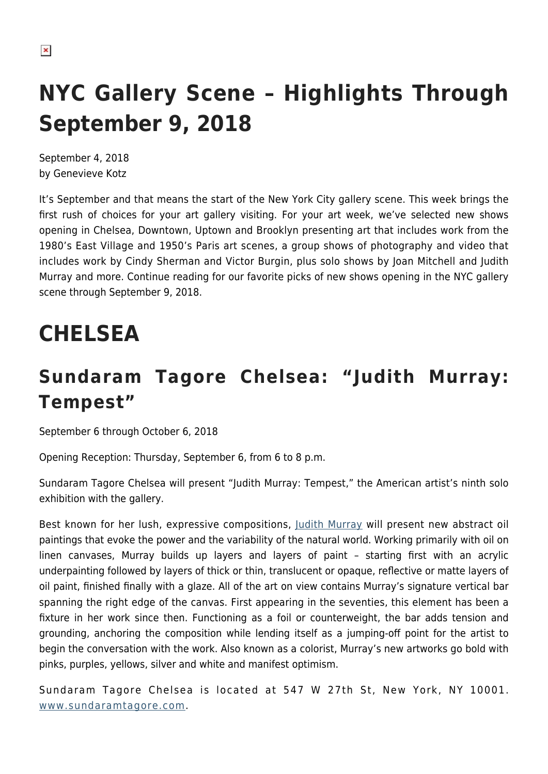# **NYC Gallery Scene – Highlights Through September 9, 2018**

September 4, 2018 by Genevieve Kotz

It's September and that means the start of the New York City gallery scene. This week brings the first rush of choices for your art gallery visiting. For your art week, we've selected new shows opening in Chelsea, Downtown, Uptown and Brooklyn presenting art that includes work from the 1980's East Village and 1950's Paris art scenes, a group shows of photography and video that includes work by Cindy Sherman and Victor Burgin, plus solo shows by Joan Mitchell and Judith Murray and more. Continue reading for our favorite picks of new shows opening in the NYC gallery scene through September 9, 2018.

# **CHELSEA**

## **Sundaram Tagore Chelsea: "Judith Murray: Tempest"**

September 6 through October 6, 2018

Opening Reception: Thursday, September 6, from 6 to 8 p.m.

Sundaram Tagore Chelsea will present "Judith Murray: Tempest," the American artist's ninth solo exhibition with the gallery.

Best known for her lush, expressive compositions, [Judith Murray](https://www.judithmurray.com) will present new abstract oil paintings that evoke the power and the variability of the natural world. Working primarily with oil on linen canvases, Murray builds up layers and layers of paint – starting first with an acrylic underpainting followed by layers of thick or thin, translucent or opaque, reflective or matte layers of oil paint, finished finally with a glaze. All of the art on view contains Murray's signature vertical bar spanning the right edge of the canvas. First appearing in the seventies, this element has been a fixture in her work since then. Functioning as a foil or counterweight, the bar adds tension and grounding, anchoring the composition while lending itself as a jumping-off point for the artist to begin the conversation with the work. Also known as a colorist, Murray's new artworks go bold with pinks, purples, yellows, silver and white and manifest optimism.

Sundaram Tagore Chelsea is located at 547 W 27th St, New York, NY 10001. [www.sundaramtagore.com.](http://www.sundaramtagore.com/)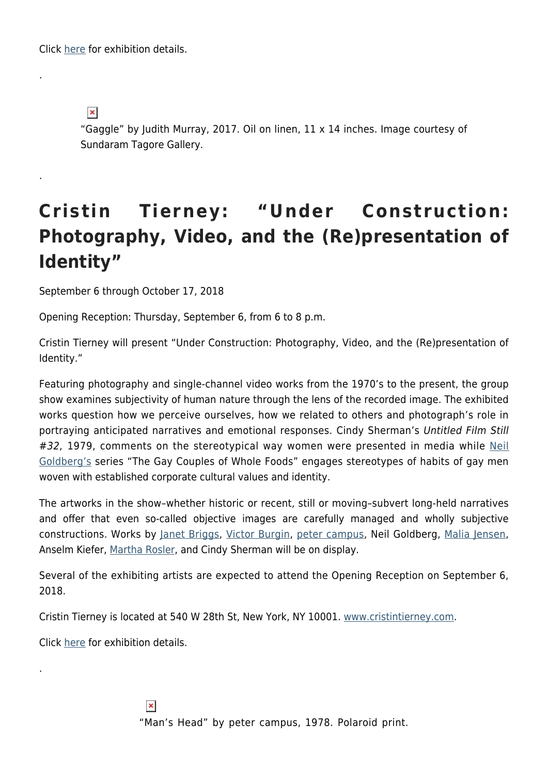$\pmb{\times}$ 

.

.

"Gaggle" by Judith Murray, 2017. Oil on linen, 11 x 14 inches. Image courtesy of Sundaram Tagore Gallery.

# **Cristin Tierney: "Under Construction: Photography, Video, and the (Re)presentation of Identity"**

September 6 through October 17, 2018

Opening Reception: Thursday, September 6, from 6 to 8 p.m.

Cristin Tierney will present "Under Construction: Photography, Video, and the (Re)presentation of Identity."

Featuring photography and single-channel video works from the 1970's to the present, the group show examines subjectivity of human nature through the lens of the recorded image. The exhibited works question how we perceive ourselves, how we related to others and photograph's role in portraying anticipated narratives and emotional responses. Cindy Sherman's Untitled Film Still #32, 1979, comments on the stereotypical way women were presented in media while [Neil](https://neilgoldberg.com) [Goldberg's](https://neilgoldberg.com) series "The Gay Couples of Whole Foods" engages stereotypes of habits of gay men woven with established corporate cultural values and identity.

The artworks in the show–whether historic or recent, still or moving–subvert long-held narratives and offer that even so-called objective images are carefully managed and wholly subjective constructions. Works by [Janet Briggs](http://www.jbiggs.com), [Victor Burgin](http://www.cristintierney.com/artists/victor-burgin), [peter campus,](http://petercampus.net) Neil Goldberg, [Malia Jensen,](http://www.maliajensenstudio.com) Anselm Kiefer, [Martha Rosler,](http://www.martharosler.net) and Cindy Sherman will be on display.

Several of the exhibiting artists are expected to attend the Opening Reception on September 6, 2018.

Cristin Tierney is located at 540 W 28th St, New York, NY 10001. [www.cristintierney.com](http://www.cristintierney.com/).

Click [here](http://www.cristintierney.com/exhibitions/under-construction-photography-video-and-the-re-presentation-of-identity?view=slider) for exhibition details.

.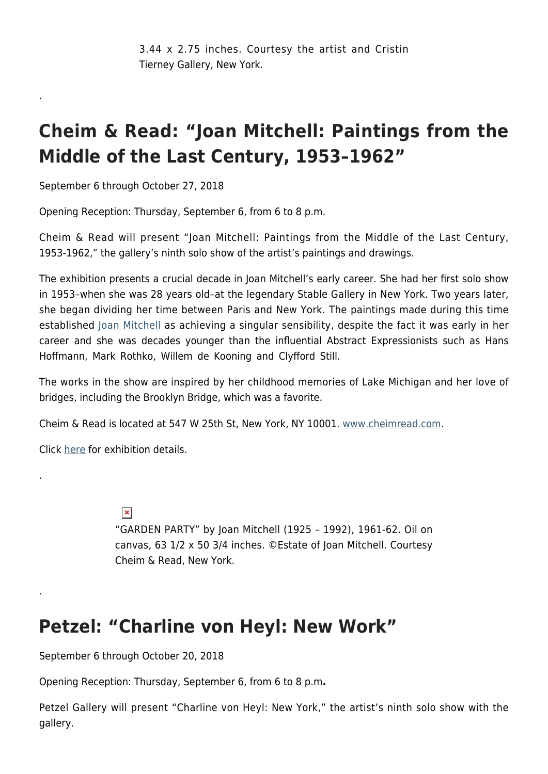## **Cheim & Read: "Joan Mitchell: Paintings from the Middle of the Last Century, 1953–1962"**

September 6 through October 27, 2018

.

.

.

Opening Reception: Thursday, September 6, from 6 to 8 p.m.

Cheim & Read will present "Joan Mitchell: Paintings from the Middle of the Last Century, 1953-1962," the gallery's ninth solo show of the artist's paintings and drawings.

The exhibition presents a crucial decade in Joan Mitchell's early career. She had her first solo show in 1953–when she was 28 years old–at the legendary Stable Gallery in New York. Two years later, she began dividing her time between Paris and New York. The paintings made during this time established [Joan Mitchell](http://joanmitchellfoundation.org) as achieving a singular sensibility, despite the fact it was early in her career and she was decades younger than the influential Abstract Expressionists such as Hans Hoffmann, Mark Rothko, Willem de Kooning and Clyfford Still.

The works in the show are inspired by her childhood memories of Lake Michigan and her love of bridges, including the Brooklyn Bridge, which was a favorite.

Cheim & Read is located at 547 W 25th St, New York, NY 10001. [www.cheimread.com](http://www.cheimread.com/).

Click [here](http://www.cheimread.com/exhibitions/joan-mitchell-paintings-from-the-middle-of-the-last-century-1953-1962) for exhibition details.

 $\pmb{\times}$ "GARDEN PARTY" by Joan Mitchell (1925 – 1992), 1961-62. Oil on canvas, 63 1/2 x 50 3/4 inches. ©Estate of Joan Mitchell. Courtesy Cheim & Read, New York.

#### **Petzel: "Charline von Heyl: New Work"**

September 6 through October 20, 2018

Opening Reception: Thursday, September 6, from 6 to 8 p.m**.**

Petzel Gallery will present "Charline von Heyl: New York," the artist's ninth solo show with the gallery.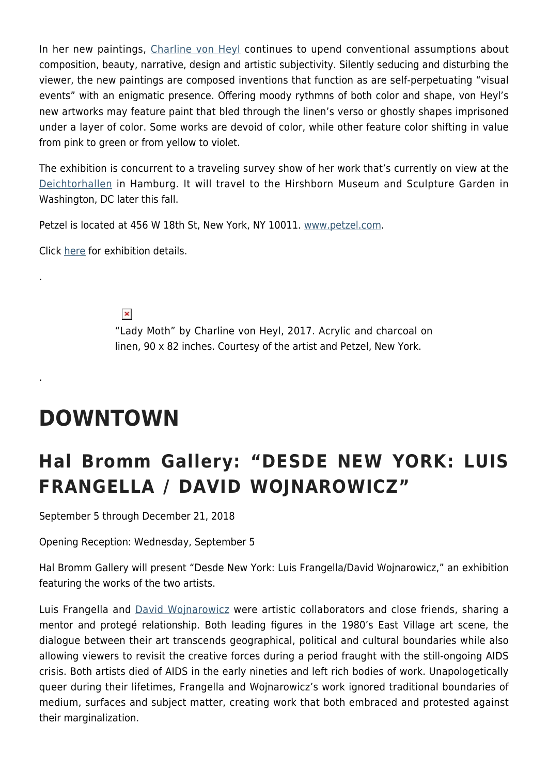In her new paintings, [Charline von Heyl](http://www.petzel.com/artists/charline-von-heyl) continues to upend conventional assumptions about composition, beauty, narrative, design and artistic subjectivity. Silently seducing and disturbing the viewer, the new paintings are composed inventions that function as are self-perpetuating "visual events" with an enigmatic presence. Offering moody rythmns of both color and shape, von Heyl's new artworks may feature paint that bled through the linen's verso or ghostly shapes imprisoned under a layer of color. Some works are devoid of color, while other feature color shifting in value from pink to green or from yellow to violet.

The exhibition is concurrent to a traveling survey show of her work that's currently on view at the [Deichtorhallen](https://www.deichtorhallen.de/index.php?id=5&L=1) in Hamburg. It will travel to the Hirshborn Museum and Sculpture Garden in Washington, DC later this fall.

Petzel is located at 456 W 18th St, New York, NY 10011. [www.petzel.com](http://www.petzel.com/).

Click [here](http://www.petzel.com/exhibitions/charline-von-heyl12) for exhibition details.

.

.

 $\pmb{\times}$ "Lady Moth" by Charline von Heyl, 2017. Acrylic and charcoal on linen, 90 x 82 inches. Courtesy of the artist and Petzel, New York.

# **DOWNTOWN**

## **Hal Bromm Gallery: "DESDE NEW YORK: LUIS FRANGELLA / DAVID WOJNAROWICZ"**

September 5 through December 21, 2018

Opening Reception: Wednesday, September 5

Hal Bromm Gallery will present "Desde New York: Luis Frangella/David Wojnarowicz," an exhibition featuring the works of the two artists.

Luis Frangella and [David Wojnarowicz](http://visualaids.org/artists/detail/david-wojnarowicz) were artistic collaborators and close friends, sharing a mentor and protegé relationship. Both leading figures in the 1980's East Village art scene, the dialogue between their art transcends geographical, political and cultural boundaries while also allowing viewers to revisit the creative forces during a period fraught with the still-ongoing AIDS crisis. Both artists died of AIDS in the early nineties and left rich bodies of work. Unapologetically queer during their lifetimes, Frangella and Wojnarowicz's work ignored traditional boundaries of medium, surfaces and subject matter, creating work that both embraced and protested against their marginalization.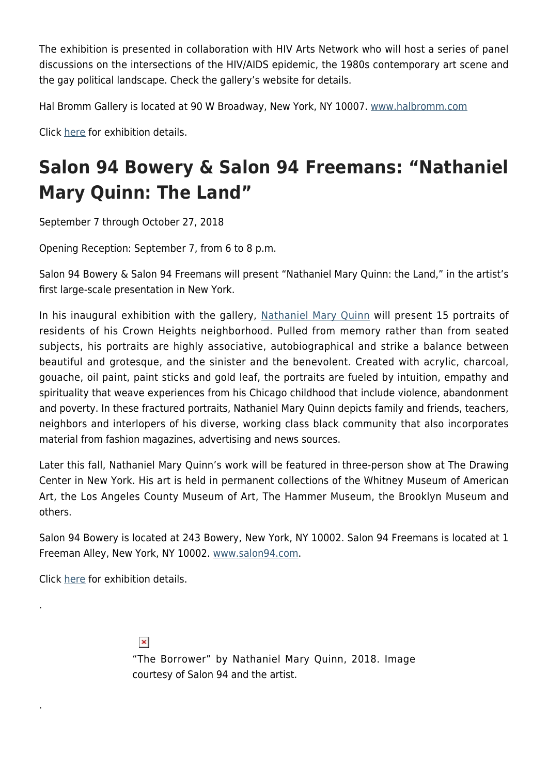The exhibition is presented in collaboration with HIV Arts Network who will host a series of panel discussions on the intersections of the HIV/AIDS epidemic, the 1980s contemporary art scene and the gay political landscape. Check the gallery's website for details.

Hal Bromm Gallery is located at 90 W Broadway, New York, NY 10007. [www.halbromm.com](https://www.halbromm.com)

Click [here](https://www.halbromm.com/current-exhibition) for exhibition details.

## **Salon 94 Bowery & Salon 94 Freemans: "Nathaniel Mary Quinn: The Land"**

September 7 through October 27, 2018

Opening Reception: September 7, from 6 to 8 p.m.

Salon 94 Bowery & Salon 94 Freemans will present "Nathaniel Mary Quinn: the Land," in the artist's first large-scale presentation in New York.

In his inaugural exhibition with the gallery, [Nathaniel Mary Quinn](https://www.salon94.com/artists/detail/nathaniel-mary-quinn) will present 15 portraits of residents of his Crown Heights neighborhood. Pulled from memory rather than from seated subjects, his portraits are highly associative, autobiographical and strike a balance between beautiful and grotesque, and the sinister and the benevolent. Created with acrylic, charcoal, gouache, oil paint, paint sticks and gold leaf, the portraits are fueled by intuition, empathy and spirituality that weave experiences from his Chicago childhood that include violence, abandonment and poverty. In these fractured portraits, Nathaniel Mary Quinn depicts family and friends, teachers, neighbors and interlopers of his diverse, working class black community that also incorporates material from fashion magazines, advertising and news sources.

Later this fall, Nathaniel Mary Quinn's work will be featured in three-person show at The Drawing Center in New York. His art is held in permanent collections of the Whitney Museum of American Art, the Los Angeles County Museum of Art, The Hammer Museum, the Brooklyn Museum and others.

Salon 94 Bowery is located at 243 Bowery, New York, NY 10002. Salon 94 Freemans is located at 1 Freeman Alley, New York, NY 10002. [www.salon94.com](https://www.salon94.com/).

Click [here](https://www.salon94.com/exhibitions/detail/nathaniel-mary-quinn) for exhibition details.

.

.

 $\pmb{\times}$ 

"The Borrower" by Nathaniel Mary Quinn, 2018. Image courtesy of Salon 94 and the artist.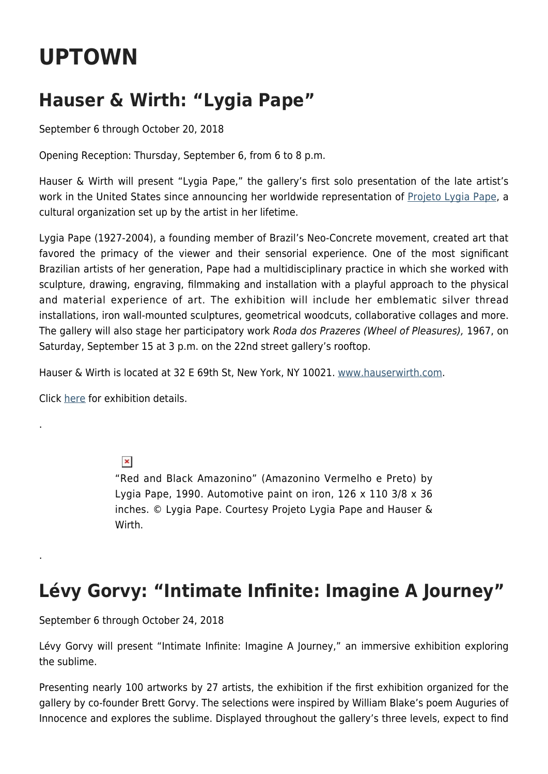# **UPTOWN**

## **Hauser & Wirth: "Lygia Pape"**

September 6 through October 20, 2018

Opening Reception: Thursday, September 6, from 6 to 8 p.m.

Hauser & Wirth will present "Lygia Pape," the gallery's first solo presentation of the late artist's work in the United States since announcing her worldwide representation of [Projeto Lygia Pape,](http://www.lygiapape.org.br/en/projeto.php) a cultural organization set up by the artist in her lifetime.

Lygia Pape (1927-2004), a founding member of Brazil's Neo-Concrete movement, created art that favored the primacy of the viewer and their sensorial experience. One of the most significant Brazilian artists of her generation, Pape had a multidisciplinary practice in which she worked with sculpture, drawing, engraving, filmmaking and installation with a playful approach to the physical and material experience of art. The exhibition will include her emblematic silver thread installations, iron wall-mounted sculptures, geometrical woodcuts, collaborative collages and more. The gallery will also stage her participatory work Roda dos Prazeres (Wheel of Pleasures), 1967, on Saturday, September 15 at 3 p.m. on the 22nd street gallery's rooftop.

Hauser & Wirth is located at 32 E 69th St, New York, NY 10021. [www.hauserwirth.com.](https://www.hauserwirth.com/)

Click [here](https://www.hauserwirth.com/hauser-wirth-exhibitions/21873-lygia-pape-2) for exhibition details.

.

.

#### $\pmb{\times}$

"Red and Black Amazonino" (Amazonino Vermelho e Preto) by Lygia Pape, 1990. Automotive paint on iron, 126  $\times$  110 3/8  $\times$  36 inches. © Lygia Pape. Courtesy Projeto Lygia Pape and Hauser & Wirth.

#### **Lévy Gorvy: "Intimate Infinite: Imagine A Journey"**

September 6 through October 24, 2018

Lévy Gorvy will present "Intimate Infinite: Imagine A Journey," an immersive exhibition exploring the sublime.

Presenting nearly 100 artworks by 27 artists, the exhibition if the first exhibition organized for the gallery by co-founder Brett Gorvy. The selections were inspired by William Blake's poem Auguries of Innocence and explores the sublime. Displayed throughout the gallery's three levels, expect to find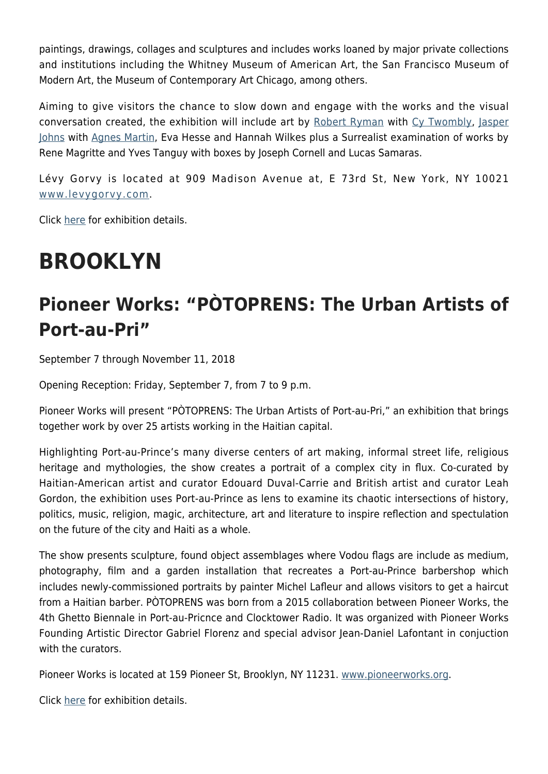paintings, drawings, collages and sculptures and includes works loaned by major private collections and institutions including the Whitney Museum of American Art, the San Francisco Museum of Modern Art, the Museum of Contemporary Art Chicago, among others.

Aiming to give visitors the chance to slow down and engage with the works and the visual conversation created, the exhibition will include art by [Robert Ryman](https://hamptonsarthub.com/2016/01/19/art-review-robert-ryman-paintings-at-dia/) with [Cy Twombly,](http://www.cytwombly.org) [Jasper](http://www.jasper-johns.org) [Johns](http://www.jasper-johns.org) with [Agnes Martin](https://hamptonsarthub.com/2016/10/12/nyc-museum-highlight-agnes-martin-at-the-guggenheim/), Eva Hesse and Hannah Wilkes plus a Surrealist examination of works by Rene Magritte and Yves Tanguy with boxes by Joseph Cornell and Lucas Samaras.

Lévy Gorvy is located at 909 Madison Avenue at, E 73rd St, New York, NY 10021 [www.levygorvy.com](https://www.levygorvy.com/).

Click [here](https://www.levygorvy.com/exhibitions/intimate-infinite-imagine-a-journey/) for exhibition details.

# **BROOKLYN**

## **Pioneer Works: "PÒTOPRENS: The Urban Artists of Port-au-Pri"**

September 7 through November 11, 2018

Opening Reception: Friday, September 7, from 7 to 9 p.m.

Pioneer Works will present "PÒTOPRENS: The Urban Artists of Port-au-Pri," an exhibition that brings together work by over 25 artists working in the Haitian capital.

Highlighting Port-au-Prince's many diverse centers of art making, informal street life, religious heritage and mythologies, the show creates a portrait of a complex city in flux. Co-curated by Haitian-American artist and curator Edouard Duval-Carrie and British artist and curator Leah Gordon, the exhibition uses Port-au-Prince as lens to examine its chaotic intersections of history, politics, music, religion, magic, architecture, art and literature to inspire reflection and spectulation on the future of the city and Haiti as a whole.

The show presents sculpture, found object assemblages where Vodou flags are include as medium, photography, film and a garden installation that recreates a Port-au-Prince barbershop which includes newly-commissioned portraits by painter Michel Lafleur and allows visitors to get a haircut from a Haitian barber. PÒTOPRENS was born from a 2015 collaboration between Pioneer Works, the 4th Ghetto Biennale in Port-au-Pricnce and Clocktower Radio. It was organized with Pioneer Works Founding Artistic Director Gabriel Florenz and special advisor Jean-Daniel Lafontant in conjuction with the curators.

Pioneer Works is located at 159 Pioneer St, Brooklyn, NY 11231. [www.pioneerworks.org](https://pioneerworks.org/).

Click [here](https://pioneerworks.org/exhibitions/potoprens/) for exhibition details.